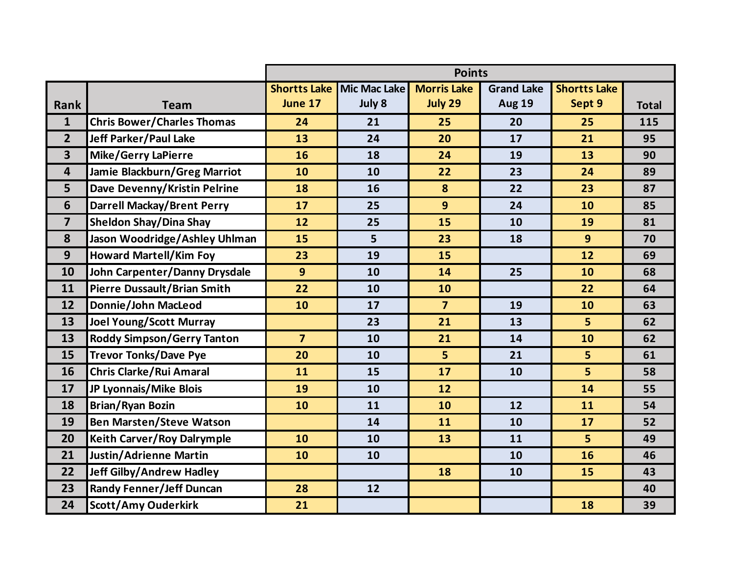|                         |                                    | <b>Points</b>       |                     |                    |                   |                     |              |  |  |
|-------------------------|------------------------------------|---------------------|---------------------|--------------------|-------------------|---------------------|--------------|--|--|
|                         |                                    | <b>Shortts Lake</b> | <b>Mic Mac Lake</b> | <b>Morris Lake</b> | <b>Grand Lake</b> | <b>Shortts Lake</b> |              |  |  |
| <b>Rank</b>             | <b>Team</b>                        | June 17             | July 8              | July 29            | <b>Aug 19</b>     | Sept 9              | <b>Total</b> |  |  |
| $\mathbf{1}$            | <b>Chris Bower/Charles Thomas</b>  | 24                  | 21                  | 25                 | 20                | 25                  | 115          |  |  |
| $\overline{2}$          | Jeff Parker/Paul Lake              | 13                  | 24                  | 20                 | 17                | 21                  | 95           |  |  |
| $\overline{\mathbf{3}}$ | <b>Mike/Gerry LaPierre</b>         | 16                  | 18                  | 24                 | 19                | 13                  | 90           |  |  |
| $\overline{4}$          | Jamie Blackburn/Greg Marriot       | 10                  | 10                  | 22                 | 23                | 24                  | 89           |  |  |
| 5                       | Dave Devenny/Kristin Pelrine       | 18                  | 16                  | 8                  | 22                | 23                  | 87           |  |  |
| $6\phantom{1}$          | <b>Darrell Mackay/Brent Perry</b>  | 17                  | 25                  | 9                  | 24                | 10                  | 85           |  |  |
| $\overline{7}$          | <b>Sheldon Shay/Dina Shay</b>      | 12                  | 25                  | 15                 | 10                | 19                  | 81           |  |  |
| 8                       | Jason Woodridge/Ashley Uhlman      | 15                  | 5                   | 23                 | 18                | 9                   | 70           |  |  |
| 9                       | <b>Howard Martell/Kim Foy</b>      | 23                  | 19                  | 15                 |                   | 12                  | 69           |  |  |
| 10                      | John Carpenter/Danny Drysdale      | 9                   | 10                  | 14                 | 25                | 10                  | 68           |  |  |
| 11                      | <b>Pierre Dussault/Brian Smith</b> | 22                  | 10                  | 10                 |                   | 22                  | 64           |  |  |
| 12                      | Donnie/John MacLeod                | 10                  | 17                  | $\overline{7}$     | 19                | 10                  | 63           |  |  |
| 13                      | <b>Joel Young/Scott Murray</b>     |                     | 23                  | 21                 | 13                | 5                   | 62           |  |  |
| 13                      | <b>Roddy Simpson/Gerry Tanton</b>  | $\overline{7}$      | 10                  | 21                 | 14                | 10                  | 62           |  |  |
| 15                      | <b>Trevor Tonks/Dave Pye</b>       | 20                  | 10                  | 5                  | 21                | 5                   | 61           |  |  |
| 16                      | <b>Chris Clarke/Rui Amaral</b>     | 11                  | 15                  | 17                 | 10                | 5 <sup>1</sup>      | 58           |  |  |
| 17                      | JP Lyonnais/Mike Blois             | 19                  | 10                  | 12                 |                   | 14                  | 55           |  |  |
| 18                      | <b>Brian/Ryan Bozin</b>            | 10                  | 11                  | 10                 | 12                | 11                  | 54           |  |  |
| 19                      | <b>Ben Marsten/Steve Watson</b>    |                     | 14                  | 11                 | 10                | 17                  | 52           |  |  |
| 20                      | <b>Keith Carver/Roy Dalrymple</b>  | 10                  | 10                  | 13                 | 11                | 5                   | 49           |  |  |
| 21                      | Justin/Adrienne Martin             | 10                  | 10                  |                    | 10                | 16                  | 46           |  |  |
| 22                      | <b>Jeff Gilby/Andrew Hadley</b>    |                     |                     | 18                 | 10                | 15                  | 43           |  |  |
| 23                      | <b>Randy Fenner/Jeff Duncan</b>    | 28                  | 12                  |                    |                   |                     | 40           |  |  |
| 24                      | <b>Scott/Amy Ouderkirk</b>         | 21                  |                     |                    |                   | 18                  | 39           |  |  |